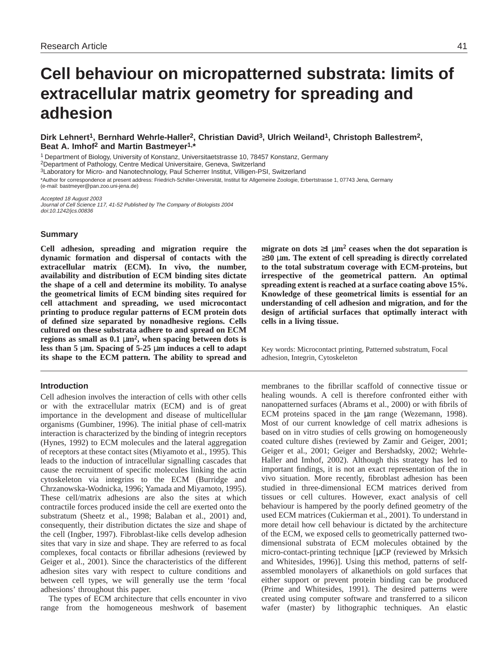# **Cell behaviour on micropatterned substrata: limits of extracellular matrix geometry for spreading and adhesion**

**Dirk Lehnert1, Bernhard Wehrle-Haller2, Christian David3, Ulrich Weiland1, Christoph Ballestrem2, Beat A. Imhof2 and Martin Bastmeyer1,\***

1 Department of Biology, University of Konstanz, Universitaetstrasse 10, 78457 Konstanz, Germany

2Department of Pathology, Centre Medical Universitaire, Geneva, Switzerland

3Laboratory for Micro- and Nanotechnology, Paul Scherrer Institut, Villigen-PSI, Switzerland

\*Author for correspondence at present address: Friedrich-Schiller-Universität, Institut für Allgemeine Zoologie, Erbertstrasse 1, 07743 Jena, Germany

(e-mail: bastmeyer@pan.zoo.uni-jena.de)

Accepted 18 August 2003

Journal of Cell Science 117, 41-52 Published by The Company of Biologists 2004 doi:10.1242/jcs.00836

# **Summary**

**Cell adhesion, spreading and migration require the dynamic formation and dispersal of contacts with the extracellular matrix (ECM). In vivo, the number, availability and distribution of ECM binding sites dictate the shape of a cell and determine its mobility. To analyse the geometrical limits of ECM binding sites required for cell attachment and spreading, we used microcontact printing to produce regular patterns of ECM protein dots of defined size separated by nonadhesive regions. Cells cultured on these substrata adhere to and spread on ECM regions as small as 0.1**  $\mu$ m<sup>2</sup>, when spacing between dots is **less than 5** µ**m. Spacing of 5-25** µ**m induces a cell to adapt its shape to the ECM pattern. The ability to spread and**

## **Introduction**

Cell adhesion involves the interaction of cells with other cells or with the extracellular matrix (ECM) and is of great importance in the development and disease of multicellular organisms (Gumbiner, 1996). The initial phase of cell-matrix interaction is characterized by the binding of integrin receptors (Hynes, 1992) to ECM molecules and the lateral aggregation of receptors at these contact sites (Miyamoto et al., 1995). This leads to the induction of intracellular signalling cascades that cause the recruitment of specific molecules linking the actin cytoskeleton via integrins to the ECM (Burridge and Chrzanowska-Wodnicka, 1996; Yamada and Miyamoto, 1995). These cell/matrix adhesions are also the sites at which contractile forces produced inside the cell are exerted onto the substratum (Sheetz et al., 1998; Balaban et al., 2001) and, consequently, their distribution dictates the size and shape of the cell (Ingber, 1997). Fibroblast-like cells develop adhesion sites that vary in size and shape. They are referred to as focal complexes, focal contacts or fibrillar adhesions (reviewed by Geiger et al., 2001). Since the characteristics of the different adhesion sites vary with respect to culture conditions and between cell types, we will generally use the term 'focal adhesions' throughout this paper.

The types of ECM architecture that cells encounter in vivo range from the homogeneous meshwork of basement

migrate on dots  $≥1 \mu m^2$  ceases when the dot separation is ≥**30** µ**m. The extent of cell spreading is directly correlated to the total substratum coverage with ECM-proteins, but irrespective of the geometrical pattern. An optimal spreading extent is reached at a surface coating above 15%. Knowledge of these geometrical limits is essential for an understanding of cell adhesion and migration, and for the design of artificial surfaces that optimally interact with cells in a living tissue.**

Key words: Microcontact printing, Patterned substratum, Focal adhesion, Integrin, Cytoskeleton

membranes to the fibrillar scaffold of connective tissue or healing wounds. A cell is therefore confronted either with nanopatterned surfaces (Abrams et al., 2000) or with fibrils of ECM proteins spaced in the µm range (Wezemann, 1998). Most of our current knowledge of cell matrix adhesions is based on in vitro studies of cells growing on homogeneously coated culture dishes (reviewed by Zamir and Geiger, 2001; Geiger et al., 2001; Geiger and Bershadsky, 2002; Wehrle-Haller and Imhof, 2002). Although this strategy has led to important findings, it is not an exact representation of the in vivo situation. More recently, fibroblast adhesion has been studied in three-dimensional ECM matrices derived from tissues or cell cultures. However, exact analysis of cell behaviour is hampered by the poorly defined geometry of the used ECM matrices (Cukierman et al., 2001). To understand in more detail how cell behaviour is dictated by the architecture of the ECM, we exposed cells to geometrically patterned twodimensional substrata of ECM molecules obtained by the micro-contact-printing technique [µCP (reviewed by Mrksich and Whitesides, 1996)]. Using this method, patterns of selfassembled monolayers of alkanethiols on gold surfaces that either support or prevent protein binding can be produced (Prime and Whitesides, 1991). The desired patterns were created using computer software and transferred to a silicon wafer (master) by lithographic techniques. An elastic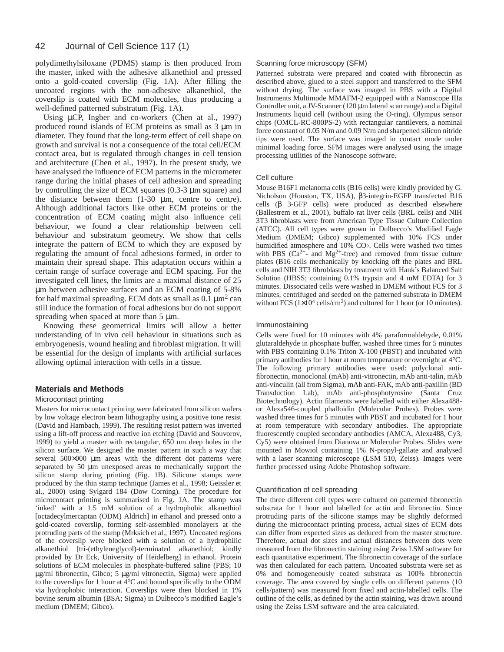polydimethylsiloxane (PDMS) stamp is then produced from the master, inked with the adhesive alkanethiol and pressed onto a gold-coated coverslip (Fig. 1A). After filling the uncoated regions with the non-adhesive alkanethiol, the coverslip is coated with ECM molecules, thus producing a well-defined patterned substratum (Fig. 1A).

Using  $\mu$ CP, Ingber and co-workers (Chen at al., 1997) produced round islands of ECM proteins as small as 3 µm in diameter. They found that the long-term effect of cell shape on growth and survival is not a consequence of the total cell/ECM contact area, but is regulated through changes in cell tension and architecture (Chen et al., 1997). In the present study, we have analysed the influence of ECM patterns in the micrometer range during the initial phases of cell adhesion and spreading by controlling the size of ECM squares (0.3-3 µm square) and the distance between them  $(1-30 \mu m, \text{ centre to centre}).$ Although additional factors like other ECM proteins or the concentration of ECM coating might also influence cell behaviour, we found a clear relationship between cell behaviour and substratum geometry. We show that cells integrate the pattern of ECM to which they are exposed by regulating the amount of focal adhesions formed, in order to maintain their spread shape. This adaptation occurs within a certain range of surface coverage and ECM spacing. For the investigated cell lines, the limits are a maximal distance of 25 µm between adhesive surfaces and an ECM coating of 5-8% for half maximal spreading. ECM dots as small as  $0.1 \mu m^2$  can still induce the formation of focal adhesions bur do not support spreading when spaced at more than 5  $\mu$ m.

Knowing these geometrical limits will allow a better understanding of in vivo cell behaviour in situations such as embryogenesis, wound healing and fibroblast migration. It will be essential for the design of implants with artificial surfaces allowing optimal interaction with cells in a tissue.

# **Materials and Methods**

## Microcontact printing

Masters for microcontact printing were fabricated from silicon wafers by low voltage electron beam lithography using a positive tone resist (David and Hambach, 1999). The resulting resist pattern was inverted using a lift-off process and reactive ion etching (David and Souvorov, 1999) to yield a master with rectangular, 650 nm deep holes in the silicon surface. We designed the master pattern in such a way that several 500×000 µm areas with the different dot patterns were separated by 50  $\mu$ m unexposed areas to mechanically support the silicon stamp during printing (Fig. 1B). Silicone stamps were produced by the thin stamp technique (James et al., 1998; Geissler et al., 2000) using Sylgard 184 (Dow Corning). The procedure for microcontact printing is summarised in Fig. 1A. The stamp was 'inked' with a 1.5 mM solution of a hydrophobic alkanethiol [octadecylmercaptan (ODM) Aldrich] in ethanol and pressed onto a gold-coated coverslip, forming self-assembled monolayers at the protruding parts of the stamp (Mrksich et al., 1997). Uncoated regions of the coverslip were blocked with a solution of a hydrophilic alkanethiol [tri-(ethyleneglycol)-terminated alkanethiol; kindly provided by Dr Eck, University of Heidelberg] in ethanol. Protein solutions of ECM molecules in phosphate-buffered saline (PBS; 10 µg/ml fibronectin, Gibco; 5 µg/ml vitronectin, Sigma) were applied to the coverslips for 1 hour at 4°C and bound specifically to the ODM via hydrophobic interaction. Coverslips were then blocked in 1% bovine serum albumin (BSA; Sigma) in Dulbecco's modified Eagle's medium (DMEM; Gibco).

## Scanning force microscopy (SFM)

Patterned substrata were prepared and coated with fibronectin as described above, glued to a steel support and transferred to the SFM without drying. The surface was imaged in PBS with a Digital Instruments Multimode MMAFM-2 equipped with a Nanoscope IIIa Controller unit, a JV-Scanner (120 µm lateral scan range) and a Digital Instruments liquid cell (without using the O-ring). Olympus sensor chips (OMCL-RC-800PS-2) with rectangular cantilevers, a nominal force constant of 0.05 N/m and 0.09 N/m and sharpened silicon nitride tips were used. The surface was imaged in contact mode under minimal loading force. SFM images were analysed using the image processing utilities of the Nanoscope software.

# Cell culture

Mouse B16F1 melanoma cells (B16 cells) were kindly provided by G. Nicholson (Houston, TX, USA), β3-integrin-EGFP transfected B16 cells (β 3-GFP cells) were produced as described elsewhere (Ballestrem et al., 2001), buffalo rat liver cells (BRL cells) and NIH 3T3 fibroblasts were from American Type Tissue Culture Collection (ATCC). All cell types were grown in Dulbecco's Modified Eagle Medium (DMEM; Gibco) supplemented with 10% FCS under humidified atmosphere and 10% CO2. Cells were washed two times with PBS  $(Ca^{2+1})$  and Mg<sup>2+</sup>-free) and removed from tissue culture plates (B16 cells mechanically by knocking off the plates and BRL cells and NIH 3T3 fibroblasts by treatment with Hank's Balanced Salt Solution (HBSS; containing 0.1% trypsin and 4 mM EDTA) for 3 minutes. Dissociated cells were washed in DMEM without FCS for 3 minutes, centrifuged and seeded on the patterned substrata in DMEM without FCS ( $1\times10^4$  cells/cm<sup>2</sup>) and cultured for 1 hour (or 10 minutes).

## Immunostaining

Cells were fixed for 10 minutes with 4% paraformaldehyde, 0.01% glutaraldehyde in phosphate buffer, washed three times for 5 minutes with PBS containing 0.1% Triton X-100 (PBST) and incubated with primary antibodies for 1 hour at room temperature or overnight at 4°C. The following primary antibodies were used: polyclonal antifibronectin, monoclonal (mAb) anti-vitronectin, mAb anti-talin, mAb anti-vinculin (all from Sigma), mAb anti-FAK, mAb anti-paxillin (BD Transduction Lab), mAb anti-phosphotyrosine (Santa Cruz Biotechnology). Actin filaments were labelled with either Alexa488 or Alexa546-coupled phalloidin (Molecular Probes). Probes were washed three times for 5 minutes with PBST and incubated for 1 hour at room temperature with secondary antibodies. The appropriate fluorescently coupled secondary antibodies (AMCA, Alexa488, Cy3, Cy5) were obtained from Dianova or Molecular Probes. Slides were mounted in Mowiol containing 1% N-propyl-gallate and analysed with a laser scanning microscope (LSM 510, Zeiss). Images were further processed using Adobe Photoshop software.

## Quantification of cell spreading

The three different cell types were cultured on patterned fibronectin substrata for 1 hour and labelled for actin and fibronectin. Since protruding parts of the silicone stamps may be slightly deformed during the microcontact printing process, actual sizes of ECM dots can differ from expected sizes as deduced from the master structure. Therefore, actual dot sizes and actual distances between dots were measured from the fibronectin staining using Zeiss LSM software for each quantitative experiment. The fibronectin coverage of the surface was then calculated for each pattern. Uncoated substrata were set as 0% and homogeneously coated substrata as 100% fibronectin coverage. The area covered by single cells on different patterns (10 cells/pattern) was measured from fixed and actin-labelled cells. The outline of the cells, as defined by the actin staining, was drawn around using the Zeiss LSM software and the area calculated.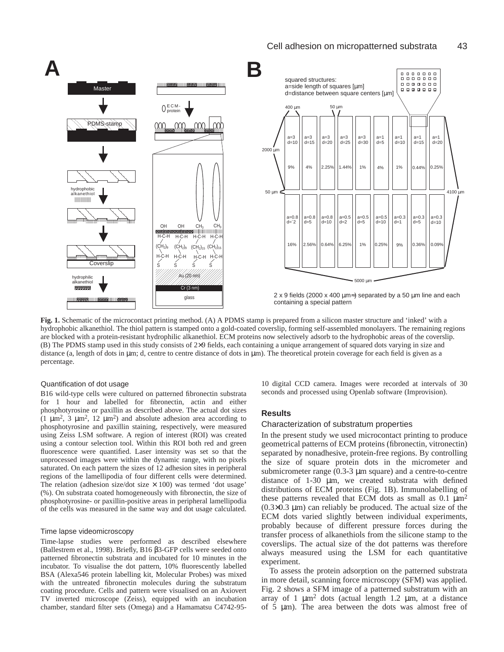

**Fig. 1.** Schematic of the microcontact printing method. (A) A PDMS stamp is prepared from a silicon master structure and 'inked' with a hydrophobic alkanethiol. The thiol pattern is stamped onto a gold-coated coverslip, forming self-assembled monolayers. The remaining regions are blocked with a protein-resistant hydrophilic alkanethiol. ECM proteins now selectively adsorb to the hydrophobic areas of the coverslip. (B) The PDMS stamp used in this study consists of 2×9 fields, each containing a unique arrangement of squared dots varying in size and distance (a, length of dots in  $\mu$ m; d, centre to centre distance of dots in  $\mu$ m). The theoretical protein coverage for each field is given as a percentage.

#### Quantification of dot usage

B16 wild-type cells were cultured on patterned fibronectin substrata for 1 hour and labelled for fibronectin, actin and either phosphotyrosine or paxillin as described above. The actual dot sizes (1  $\mu$ m<sup>2</sup>, 3  $\mu$ m<sup>2</sup>, 12  $\mu$ m<sup>2</sup>) and absolute adhesion area according to phosphotyrosine and paxillin staining, respectively, were measured using Zeiss LSM software. A region of interest (ROI) was created using a contour selection tool. Within this ROI both red and green fluorescence were quantified. Laser intensity was set so that the unprocessed images were within the dynamic range, with no pixels saturated. On each pattern the sizes of 12 adhesion sites in peripheral regions of the lamellipodia of four different cells were determined. The relation (adhesion size/dot size  $\times$  100) was termed 'dot usage' (%). On substrata coated homogeneously with fibronectin, the size of phosphotyrosine- or paxillin-positive areas in peripheral lamellipodia of the cells was measured in the same way and dot usage calculated.

## Time lapse videomicroscopy

Time-lapse studies were performed as described elsewhere (Ballestrem et al., 1998). Briefly, B16 β3-GFP cells were seeded onto patterned fibronectin substrata and incubated for 10 minutes in the incubator. To visualise the dot pattern, 10% fluorescently labelled BSA (Alexa546 protein labelling kit, Molecular Probes) was mixed with the untreated fibronectin molecules during the substratum coating procedure. Cells and pattern were visualised on an Axiovert TV inverted microscope (Zeiss), equipped with an incubation chamber, standard filter sets (Omega) and a Hamamatsu C4742-95-

10 digital CCD camera. Images were recorded at intervals of 30 seconds and processed using Openlab software (Improvision).

# **Results**

## Characterization of substratum properties

In the present study we used microcontact printing to produce geometrical patterns of ECM proteins (fibronectin, vitronectin) separated by nonadhesive, protein-free regions. By controlling the size of square protein dots in the micrometer and submicrometer range (0.3-3  $\mu$ m square) and a centre-to-centre distance of 1-30 µm, we created substrata with defined distributions of ECM proteins (Fig. 1B). Immunolabelling of these patterns revealed that ECM dots as small as  $0.1 \mu m^2$  $(0.3\times0.3 \mu m)$  can reliably be produced. The actual size of the ECM dots varied slightly between individual experiments, probably because of different pressure forces during the transfer process of alkanethiols from the silicone stamp to the coverslips. The actual size of the dot patterns was therefore always measured using the LSM for each quantitative experiment.

To assess the protein adsorption on the patterned substrata in more detail, scanning force microscopy (SFM) was applied. Fig. 2 shows a SFM image of a patterned substratum with an array of 1  $\mu$ m<sup>2</sup> dots (actual length 1.2  $\mu$ m, at a distance of 5 µm). The area between the dots was almost free of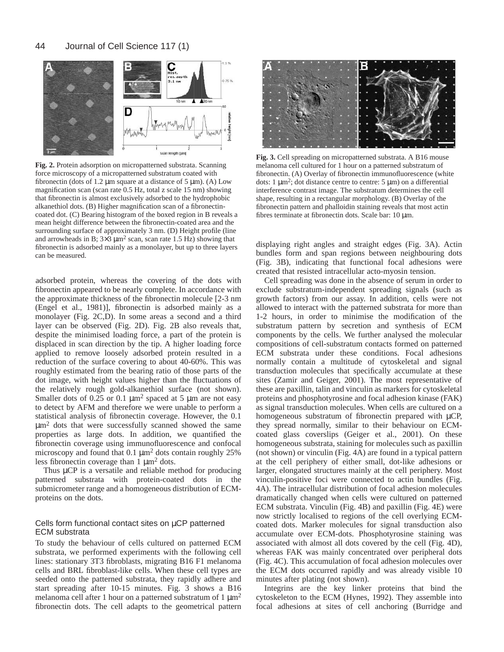

**Fig. 2.** Protein adsorption on micropatterned substrata. Scanning force microscopy of a micropatterned substratum coated with fibronectin (dots of 1.2  $\mu$ m square at a distance of 5  $\mu$ m). (A) Low magnification scan (scan rate 0.5 Hz, total z scale 15 nm) showing that fibronectin is almost exclusively adsorbed to the hydrophobic alkanethiol dots. (B) Higher magnification scan of a fibronectincoated dot. (C) Bearing histogram of the boxed region in B reveals a mean height difference between the fibronectin-coated area and the surrounding surface of approximately 3 nm. (D) Height profile (line and arrowheads in B;  $3\times3 \mu m^2$  scan, scan rate 1.5 Hz) showing that fibronectin is adsorbed mainly as a monolayer, but up to three layers can be measured.

adsorbed protein, whereas the covering of the dots with fibronectin appeared to be nearly complete. In accordance with the approximate thickness of the fibronectin molecule [2-3 nm (Engel et al., 1981)], fibronectin is adsorbed mainly as a monolayer (Fig. 2C,D). In some areas a second and a third layer can be observed (Fig. 2D). Fig. 2B also reveals that, despite the minimised loading force, a part of the protein is displaced in scan direction by the tip. A higher loading force applied to remove loosely adsorbed protein resulted in a reduction of the surface covering to about 40-60%. This was roughly estimated from the bearing ratio of those parts of the dot image, with height values higher than the fluctuations of the relatively rough gold-alkanethiol surface (not shown). Smaller dots of 0.25 or 0.1  $\mu$ m<sup>2</sup> spaced at 5  $\mu$ m are not easy to detect by AFM and therefore we were unable to perform a statistical analysis of fibronectin coverage. However, the 0.1  $\mu$ m<sup>2</sup> dots that were successfully scanned showed the same properties as large dots. In addition, we quantified the fibronectin coverage using immunofluorescence and confocal microscopy and found that  $0.1 \ \mu m^2$  dots contain roughly 25% less fibronectin coverage than  $1 \mu m^2$  dots.

Thus  $\mu$ CP is a versatile and reliable method for producing patterned substrata with protein-coated dots in the submicrometer range and a homogeneous distribution of ECMproteins on the dots.

# Cells form functional contact sites on µCP patterned ECM substrata

To study the behaviour of cells cultured on patterned ECM substrata, we performed experiments with the following cell lines: stationary 3T3 fibroblasts, migrating B16 F1 melanoma cells and BRL fibroblast-like cells. When these cell types are seeded onto the patterned substrata, they rapidly adhere and start spreading after 10-15 minutes. Fig. 3 shows a B16 melanoma cell after 1 hour on a patterned substratum of 1  $\mu$ m<sup>2</sup> fibronectin dots. The cell adapts to the geometrical pattern



**Fig. 3.** Cell spreading on micropatterned substrata. A B16 mouse melanoma cell cultured for 1 hour on a patterned substratum of fibronectin. (A) Overlay of fibronectin immunofluorescence (white dots:  $1 \mu m^2$ ; dot distance centre to centre:  $5 \mu m$ ) on a differential interference contrast image. The substratum determines the cell shape, resulting in a rectangular morphology. (B) Overlay of the fibronectin pattern and phalloidin staining reveals that most actin fibres terminate at fibronectin dots. Scale bar: 10 µm.

displaying right angles and straight edges (Fig. 3A). Actin bundles form and span regions between neighbouring dots (Fig. 3B), indicating that functional focal adhesions were created that resisted intracellular acto-myosin tension.

Cell spreading was done in the absence of serum in order to exclude substratum-independent spreading signals (such as growth factors) from our assay. In addition, cells were not allowed to interact with the patterned substrata for more than 1-2 hours, in order to minimise the modification of the substratum pattern by secretion and synthesis of ECM components by the cells. We further analysed the molecular compositions of cell-substratum contacts formed on patterned ECM substrata under these conditions. Focal adhesions normally contain a multitude of cytoskeletal and signal transduction molecules that specifically accumulate at these sites (Zamir and Geiger, 2001). The most representative of these are paxillin, talin and vinculin as markers for cytoskeletal proteins and phosphotyrosine and focal adhesion kinase (FAK) as signal transduction molecules. When cells are cultured on a homogeneous substratum of fibronectin prepared with  $\mu$ CP, they spread normally, similar to their behaviour on ECMcoated glass coverslips (Geiger et al., 2001). On these homogeneous substrata, staining for molecules such as paxillin (not shown) or vinculin (Fig. 4A) are found in a typical pattern at the cell periphery of either small, dot-like adhesions or larger, elongated structures mainly at the cell periphery. Most vinculin-positive foci were connected to actin bundles (Fig. 4A). The intracellular distribution of focal adhesion molecules dramatically changed when cells were cultured on patterned ECM substrata. Vinculin (Fig. 4B) and paxillin (Fig. 4E) were now strictly localised to regions of the cell overlying ECMcoated dots. Marker molecules for signal transduction also accumulate over ECM-dots. Phosphotyrosine staining was associated with almost all dots covered by the cell (Fig. 4D), whereas FAK was mainly concentrated over peripheral dots (Fig. 4C). This accumulation of focal adhesion molecules over the ECM dots occurred rapidly and was already visible 10 minutes after plating (not shown).

Integrins are the key linker proteins that bind the cytoskeleton to the ECM (Hynes, 1992). They assemble into focal adhesions at sites of cell anchoring (Burridge and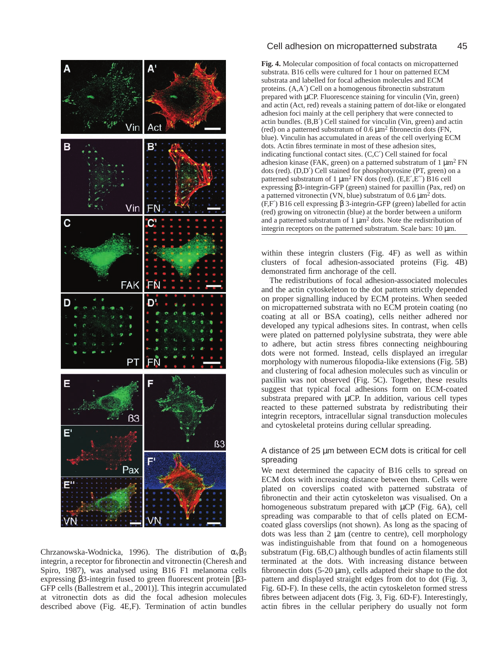

Chrzanowska-Wodnicka, 1996). The distribution of  $\alpha_v\beta_3$ integrin, a receptor for fibronectin and vitronectin (Cheresh and Spiro, 1987), was analysed using B16 F1 melanoma cells expressing β3-integrin fused to green fluorescent protein [β3- GFP cells (Ballestrem et al., 2001)]. This integrin accumulated at vitronectin dots as did the focal adhesion molecules described above (Fig. 4E,F). Termination of actin bundles

# Cell adhesion on micropatterned substrata 45

**Fig. 4.** Molecular composition of focal contacts on micropatterned substrata. B16 cells were cultured for 1 hour on patterned ECM substrata and labelled for focal adhesion molecules and ECM proteins. (A,A′) Cell on a homogenous fibronectin substratum prepared with µCP. Fluorescence staining for vinculin (Vin, green) and actin (Act, red) reveals a staining pattern of dot-like or elongated adhesion foci mainly at the cell periphery that were connected to actin bundles. (B,B′) Cell stained for vinculin (Vin, green) and actin (red) on a patterned substratum of  $0.6 \mu m^2$  fibronectin dots (FN, blue). Vinculin has accumulated in areas of the cell overlying ECM dots. Actin fibres terminate in most of these adhesion sites, indicating functional contact sites. (C,C′) Cell stained for focal adhesion kinase (FAK, green) on a patterned substratum of  $1 \mu m^2$  FN dots (red). (D,D′) Cell stained for phosphotyrosine (PT, green) on a patterned substratum of 1 µm2 FN dots (red). (E,E′,E′′) B16 cell expressing β3-integrin-GFP (green) stained for paxillin (Pax, red) on a patterned vitronectin (VN, blue) substratum of  $0.6 \mu m^2$  dots. (F,F′) B16 cell expressing β 3-integrin-GFP (green) labelled for actin (red) growing on vitronectin (blue) at the border between a uniform and a patterned substratum of  $1 \mu m^2$  dots. Note the redistribution of integrin receptors on the patterned substratum. Scale bars:  $10 \mu m$ .

within these integrin clusters (Fig. 4F) as well as within clusters of focal adhesion-associated proteins (Fig. 4B) demonstrated firm anchorage of the cell.

The redistributions of focal adhesion-associated molecules and the actin cytoskeleton to the dot pattern strictly depended on proper signalling induced by ECM proteins. When seeded on micropatterned substrata with no ECM protein coating (no coating at all or BSA coating), cells neither adhered nor developed any typical adhesions sites. In contrast, when cells were plated on patterned polylysine substrata, they were able to adhere, but actin stress fibres connecting neighbouring dots were not formed. Instead, cells displayed an irregular morphology with numerous filopodia-like extensions (Fig. 5B) and clustering of focal adhesion molecules such as vinculin or paxillin was not observed (Fig. 5C). Together, these results suggest that typical focal adhesions form on ECM-coated substrata prepared with µCP. In addition, various cell types reacted to these patterned substrata by redistributing their integrin receptors, intracellular signal transduction molecules and cytoskeletal proteins during cellular spreading.

# A distance of 25 µm between ECM dots is critical for cell spreading

We next determined the capacity of B16 cells to spread on ECM dots with increasing distance between them. Cells were plated on coverslips coated with patterned substrata of fibronectin and their actin cytoskeleton was visualised. On a homogeneous substratum prepared with  $\mu CP$  (Fig. 6A), cell spreading was comparable to that of cells plated on ECMcoated glass coverslips (not shown). As long as the spacing of dots was less than 2 µm (centre to centre), cell morphology was indistinguishable from that found on a homogeneous substratum (Fig. 6B,C) although bundles of actin filaments still terminated at the dots. With increasing distance between fibronectin dots  $(5-20 \mu m)$ , cells adapted their shape to the dot pattern and displayed straight edges from dot to dot (Fig. 3, Fig. 6D-F). In these cells, the actin cytoskeleton formed stress fibres between adjacent dots (Fig. 3, Fig. 6D-F). Interestingly, actin fibres in the cellular periphery do usually not form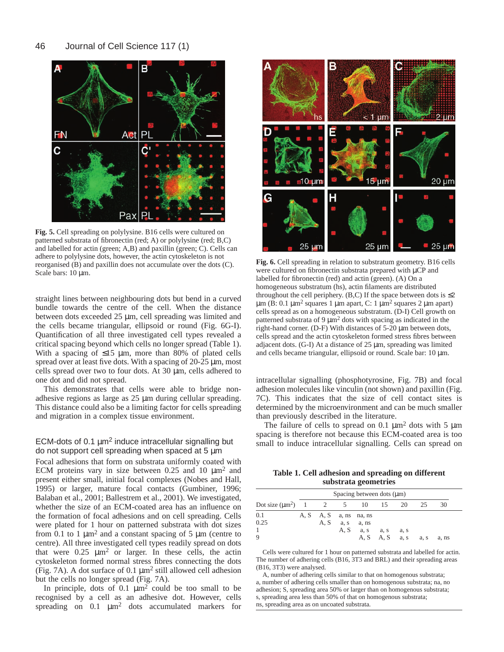

**Fig. 5.** Cell spreading on polylysine. B16 cells were cultured on patterned substrata of fibronectin (red; A) or polylysine (red; B,C) and labelled for actin (green; A,B) and paxillin (green; C). Cells can adhere to polylysine dots, however, the actin cytoskeleton is not reorganised (B) and paxillin does not accumulate over the dots (C). Scale bars: 10  $\mu$ m.

straight lines between neighbouring dots but bend in a curved bundle towards the centre of the cell. When the distance between dots exceeded 25 µm, cell spreading was limited and the cells became triangular, ellipsoid or round (Fig. 6G-I). Quantification of all three investigated cell types revealed a critical spacing beyond which cells no longer spread (Table 1). With a spacing of  $\leq 15$  µm, more than 80% of plated cells spread over at least five dots. With a spacing of 20-25 µm, most cells spread over two to four dots. At 30 µm, cells adhered to one dot and did not spread.

This demonstrates that cells were able to bridge nonadhesive regions as large as 25 µm during cellular spreading. This distance could also be a limiting factor for cells spreading and migration in a complex tissue environment.

# ECM-dots of 0.1  $\mu$ m<sup>2</sup> induce intracellular signalling but do not support cell spreading when spaced at  $5 \mu m$

Focal adhesions that form on substrata uniformly coated with ECM proteins vary in size between 0.25 and 10  $\mu$ m<sup>2</sup> and present either small, initial focal complexes (Nobes and Hall, 1995) or larger, mature focal contacts (Gumbiner, 1996; Balaban et al., 2001; Ballestrem et al., 2001). We investigated, whether the size of an ECM-coated area has an influence on the formation of focal adhesions and on cell spreading. Cells were plated for 1 hour on patterned substrata with dot sizes from  $0.1$  to 1  $\mu$ m<sup>2</sup> and a constant spacing of 5  $\mu$ m (centre to centre). All three investigated cell types readily spread on dots that were  $0.25 \mu m^2$  or larger. In these cells, the actin cytoskeleton formed normal stress fibres connecting the dots (Fig. 7A). A dot surface of 0.1  $\mu$ m<sup>2</sup> still allowed cell adhesion but the cells no longer spread (Fig. 7A).

In principle, dots of 0.1  $\mu$ m<sup>2</sup> could be too small to be recognised by a cell as an adhesive dot. However, cells spreading on  $0.1 \mu m^2$  dots accumulated markers for



**Fig. 6.** Cell spreading in relation to substratum geometry. B16 cells were cultured on fibronectin substrata prepared with  $\mu CP$  and labelled for fibronectin (red) and actin (green). (A) On a homogeneous substratum (hs), actin filaments are distributed throughout the cell periphery. (B,C) If the space between dots is  $\leq 2$  $\mu$ m (B: 0.1  $\mu$ m<sup>2</sup> squares 1  $\mu$ m apart, C: 1  $\mu$ m<sup>2</sup> squares 2  $\mu$ m apart) cells spread as on a homogeneous substratum. (D-I) Cell growth on patterned substrata of 9 µm2 dots with spacing as indicated in the right-hand corner. (D-F) With distances of 5-20 µm between dots, cells spread and the actin cytoskeleton formed stress fibres between adjacent dots.  $(G-I)$  At a distance of 25  $\mu$ m, spreading was limited and cells became triangular, ellipsoid or round. Scale bar: 10  $\mu$ m.

intracellular signalling (phosphotyrosine, Fig. 7B) and focal adhesion molecules like vinculin (not shown) and paxillin (Fig. 7C). This indicates that the size of cell contact sites is determined by the microenvironment and can be much smaller than previously described in the literature.

The failure of cells to spread on 0.1  $\mu$ m<sup>2</sup> dots with 5  $\mu$ m spacing is therefore not because this ECM-coated area is too small to induce intracellular signalling. Cells can spread on

**Table 1. Cell adhesion and spreading on different substrata geometries**

| Spacing between dots $(\mu m)$   |  |                               |      |                   |      |      |      |       |  |
|----------------------------------|--|-------------------------------|------|-------------------|------|------|------|-------|--|
| Dot size $(\mu m^2)$ 1 2 5 10 15 |  |                               |      |                   |      | -20  | 25   | 30    |  |
| 0.1                              |  | $A, S \quad A, S \quad a, ns$ |      | na, ns            |      |      |      |       |  |
| 0.25                             |  | A.S                           | a, s | a, ns             |      |      |      |       |  |
|                                  |  |                               |      | $A, S \quad a, s$ | a, s | a, s |      |       |  |
| 9                                |  |                               |      | A, S              | A, S | a, s | a, s | a, ns |  |

Cells were cultured for 1 hour on patterned substrata and labelled for actin. The number of adhering cells (B16, 3T3 and BRL) and their spreading areas (B16, 3T3) were analysed.

A, number of adhering cells similar to that on homogenous substrata; a, number of adhering cells smaller than on homogenous substrata; na, no adhesion; S, spreading area 50% or larger than on homogenous substrata; s, spreading area less than 50% of that on homogenous substrata; ns, spreading area as on uncoated substrata.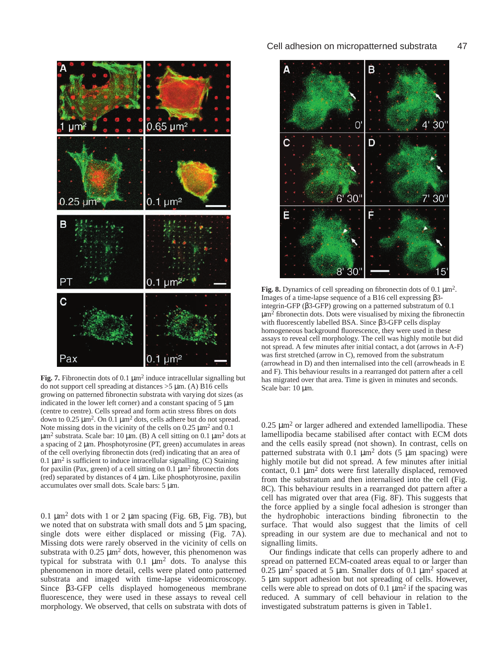

**Fig. 7.** Fibronectin dots of 0.1 µm2 induce intracellular signalling but do not support cell spreading at distances  $>5 \mu$ m. (A) B16 cells growing on patterned fibronectin substrata with varying dot sizes (as indicated in the lower left corner) and a constant spacing of 5 µm (centre to centre). Cells spread and form actin stress fibres on dots down to  $0.25 \mu m^2$ . On  $0.1 \mu m^2$  dots, cells adhere but do not spread. Note missing dots in the vicinity of the cells on  $0.25 \mu m^2$  and  $0.1$  $\mu$ m<sup>2</sup> substrata. Scale bar: 10  $\mu$ m. (B) A cell sitting on 0.1  $\mu$ m<sup>2</sup> dots at a spacing of 2 µm. Phosphotyrosine (PT, green) accumulates in areas of the cell overlying fibronectin dots (red) indicating that an area of  $0.1 \mu m^2$  is sufficient to induce intracellular signalling. (C) Staining for paxilin (Pax, green) of a cell sitting on  $0.1 \mu m^2$  fibronectin dots (red) separated by distances of 4 µm. Like phosphotyrosine, paxilin accumulates over small dots. Scale bars: 5 µm.

0.1  $\mu$ m<sup>2</sup> dots with 1 or 2  $\mu$ m spacing (Fig. 6B, Fig. 7B), but we noted that on substrata with small dots and  $5 \mu m$  spacing, single dots were either displaced or missing (Fig. 7A). Missing dots were rarely observed in the vicinity of cells on substrata with  $0.25 \mu m^2$  dots, however, this phenomenon was typical for substrata with  $0.1 \ \mu m^2$  dots. To analyse this phenomenon in more detail, cells were plated onto patterned substrata and imaged with time-lapse videomicroscopy. Since β3-GFP cells displayed homogeneous membrane fluorescence, they were used in these assays to reveal cell morphology. We observed, that cells on substrata with dots of



**Fig. 8.** Dynamics of cell spreading on fibronectin dots of 0.1 µm2. Images of a time-lapse sequence of a B16 cell expressing β3 integrin-GFP (β3-GFP) growing on a patterned substratum of 0.1  $\mu$ m<sup>2</sup> fibronectin dots. Dots were visualised by mixing the fibronectin with fluorescently labelled BSA. Since β3-GFP cells display homogeneous background fluorescence, they were used in these assays to reveal cell morphology. The cell was highly motile but did not spread. A few minutes after initial contact, a dot (arrows in A-F) was first stretched (arrow in C), removed from the substratum (arrowhead in D) and then internalised into the cell (arrowheads in E and F). This behaviour results in a rearranged dot pattern after a cell has migrated over that area. Time is given in minutes and seconds. Scale bar: 10  $\mu$ m.

 $0.25 \mu m^2$  or larger adhered and extended lamellipodia. These lamellipodia became stabilised after contact with ECM dots and the cells easily spread (not shown). In contrast, cells on patterned substrata with 0.1  $\mu$ m<sup>2</sup> dots (5  $\mu$ m spacing) were highly motile but did not spread. A few minutes after initial contact,  $0.1 \mu m^2$  dots were first laterally displaced, removed from the substratum and then internalised into the cell (Fig. 8C). This behaviour results in a rearranged dot pattern after a cell has migrated over that area (Fig. 8F). This suggests that the force applied by a single focal adhesion is stronger than the hydrophobic interactions binding fibronectin to the surface. That would also suggest that the limits of cell spreading in our system are due to mechanical and not to signalling limits.

Our findings indicate that cells can properly adhere to and spread on patterned ECM-coated areas equal to or larger than 0.25  $\mu$ m<sup>2</sup> spaced at 5  $\mu$ m. Smaller dots of 0.1  $\mu$ m<sup>2</sup> spaced at 5 µm support adhesion but not spreading of cells. However, cells were able to spread on dots of 0.1  $\mu$ m<sup>2</sup> if the spacing was reduced. A summary of cell behaviour in relation to the investigated substratum patterns is given in Table1.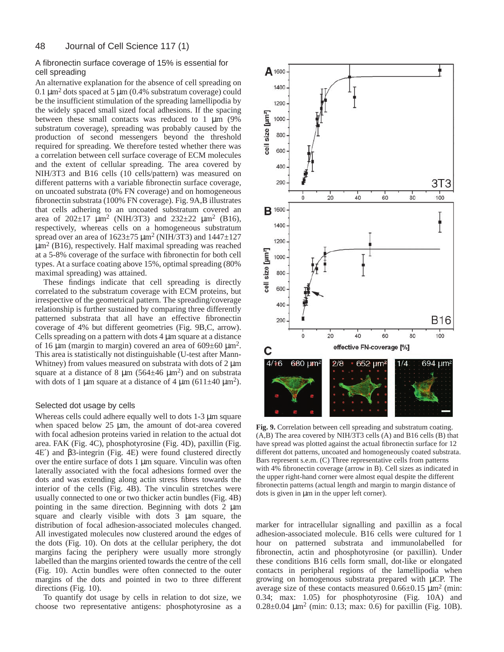# A fibronectin surface coverage of 15% is essential for cell spreading

An alternative explanation for the absence of cell spreading on 0.1  $\mu$ m<sup>2</sup> dots spaced at 5  $\mu$ m (0.4% substratum coverage) could be the insufficient stimulation of the spreading lamellipodia by the widely spaced small sized focal adhesions. If the spacing between these small contacts was reduced to 1  $\mu$ m (9%) substratum coverage), spreading was probably caused by the production of second messengers beyond the threshold required for spreading. We therefore tested whether there was a correlation between cell surface coverage of ECM molecules and the extent of cellular spreading. The area covered by NIH/3T3 and B16 cells (10 cells/pattern) was measured on different patterns with a variable fibronectin surface coverage, on uncoated substrata (0% FN coverage) and on homogeneous fibronectin substrata (100% FN coverage). Fig. 9A,B illustrates that cells adhering to an uncoated substratum covered an area of  $202 \pm 17 \ \mu m^2$  (NIH/3T3) and  $232 \pm 22 \ \mu m^2$  (B16), respectively, whereas cells on a homogeneous substratum spread over an area of  $1623\pm75 \text{ }\mu\text{m}^2$  (NIH/3T3) and  $1447\pm127$  $\mu$ m<sup>2</sup> (B16), respectively. Half maximal spreading was reached at a 5-8% coverage of the surface with fibronectin for both cell types. At a surface coating above 15%, optimal spreading (80% maximal spreading) was attained.

These findings indicate that cell spreading is directly correlated to the substratum coverage with ECM proteins, but irrespective of the geometrical pattern. The spreading/coverage relationship is further sustained by comparing three differently patterned substrata that all have an effective fibronectin coverage of 4% but different geometries (Fig. 9B,C, arrow). Cells spreading on a pattern with dots 4 µm square at a distance of 16 um (margin to margin) covered an area of  $609\pm60$  um<sup>2</sup>. This area is statistically not distinguishable (U-test after Mann-Whitney) from values measured on substrata with dots of  $2 \mu m$ square at a distance of 8  $\mu$ m (564 $\pm$ 46  $\mu$ m<sup>2</sup>) and on substrata with dots of 1 µm square at a distance of 4 µm (611 $\pm$ 40 µm<sup>2</sup>).

# Selected dot usage by cells

Whereas cells could adhere equally well to dots 1-3  $\mu$ m square when spaced below 25 µm, the amount of dot-area covered with focal adhesion proteins varied in relation to the actual dot area. FAK (Fig. 4C), phosphotyrosine (Fig. 4D), paxillin (Fig. 4E′) and β3-integrin (Fig. 4E) were found clustered directly over the entire surface of dots 1 µm square. Vinculin was often laterally associated with the focal adhesions formed over the dots and was extending along actin stress fibres towards the interior of the cells (Fig. 4B). The vinculin stretches were usually connected to one or two thicker actin bundles (Fig. 4B) pointing in the same direction. Beginning with dots 2 µm square and clearly visible with dots  $3 \mu m$  square, the distribution of focal adhesion-associated molecules changed. All investigated molecules now clustered around the edges of the dots (Fig. 10). On dots at the cellular periphery, the dot margins facing the periphery were usually more strongly labelled than the margins oriented towards the centre of the cell (Fig. 10). Actin bundles were often connected to the outer margins of the dots and pointed in two to three different directions (Fig. 10).

To quantify dot usage by cells in relation to dot size, we choose two representative antigens: phosphotyrosine as a



**Fig. 9.** Correlation between cell spreading and substratum coating. (A,B) The area covered by NIH/3T3 cells (A) and B16 cells (B) that have spread was plotted against the actual fibronectin surface for 12 different dot patterns, uncoated and homogeneously coated substrata. Bars represent s.e.m. (C) Three representative cells from patterns with 4% fibronectin coverage (arrow in B). Cell sizes as indicated in the upper right-hand corner were almost equal despite the different fibronectin patterns (actual length and margin to margin distance of dots is given in µm in the upper left corner).

marker for intracellular signalling and paxillin as a focal adhesion-associated molecule. B16 cells were cultured for 1 hour on patterned substrata and immunolabelled for fibronectin, actin and phosphotyrosine (or paxillin). Under these conditions B16 cells form small, dot-like or elongated contacts in peripheral regions of the lamellipodia when growing on homogenous substrata prepared with µCP. The average size of these contacts measured  $0.66 \pm 0.15 \ \mu m^2$  (min: 0.34; max: 1.05) for phosphotyrosine (Fig. 10A) and  $0.28 \pm 0.04 \ \mu m^2$  (min: 0.13; max: 0.6) for paxillin (Fig. 10B).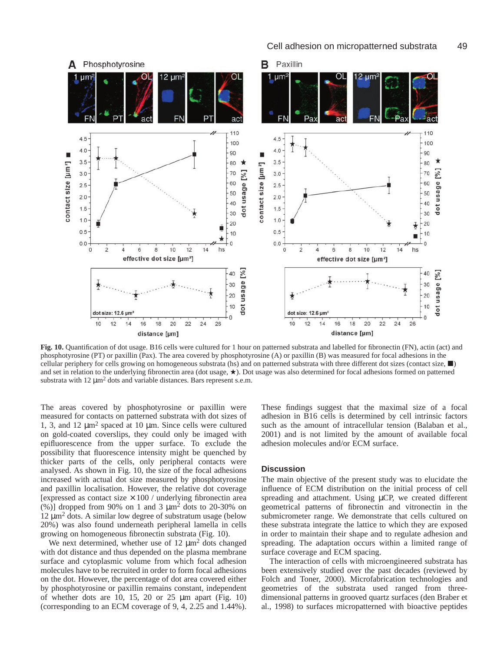



**Fig. 10.** Quantification of dot usage. B16 cells were cultured for 1 hour on patterned substrata and labelled for fibronectin (FN), actin (act) and phosphotyrosine (PT) or paxillin (Pax). The area covered by phosphotyrosine (A) or paxillin (B) was measured for focal adhesions in the cellular periphery for cells growing on homogeneous substrata (hs) and on patterned substrata with three different dot sizes (contact size,  $\blacksquare$ ) and set in relation to the underlying fibronectin area (dot usage, w). Dot usage was also determined for focal adhesions formed on patterned substrata with  $12 \mu m^2$  dots and variable distances. Bars represent s.e.m.

The areas covered by phosphotyrosine or paxillin were measured for contacts on patterned substrata with dot sizes of 1, 3, and 12  $\mu$ m<sup>2</sup> spaced at 10  $\mu$ m. Since cells were cultured on gold-coated coverslips, they could only be imaged with epifluorescence from the upper surface. To exclude the possibility that fluorescence intensity might be quenched by thicker parts of the cells, only peripheral contacts were analysed. As shown in Fig. 10, the size of the focal adhesions increased with actual dot size measured by phosphotyrosine and paxillin localisation. However, the relative dot coverage [expressed as contact size  $\times$  100 / underlying fibronectin area (%)] dropped from 90% on 1 and 3  $\mu$ m<sup>2</sup> dots to 20-30% on  $12 \mu m^2$  dots. A similar low degree of substratum usage (below 20%) was also found underneath peripheral lamella in cells growing on homogeneous fibronectin substrata (Fig. 10).

We next determined, whether use of  $12 \mu m^2$  dots changed with dot distance and thus depended on the plasma membrane surface and cytoplasmic volume from which focal adhesion molecules have to be recruited in order to form focal adhesions on the dot. However, the percentage of dot area covered either by phosphotyrosine or paxillin remains constant, independent of whether dots are 10, 15, 20 or 25  $\mu$ m apart (Fig. 10) (corresponding to an ECM coverage of 9, 4, 2.25 and 1.44%). These findings suggest that the maximal size of a focal adhesion in B16 cells is determined by cell intrinsic factors such as the amount of intracellular tension (Balaban et al., 2001) and is not limited by the amount of available focal adhesion molecules and/or ECM surface.

#### **Discussion**

The main objective of the present study was to elucidate the influence of ECM distribution on the initial process of cell spreading and attachment. Using  $\mu$ CP, we created different geometrical patterns of fibronectin and vitronectin in the submicrometer range. We demonstrate that cells cultured on these substrata integrate the lattice to which they are exposed in order to maintain their shape and to regulate adhesion and spreading. The adaptation occurs within a limited range of surface coverage and ECM spacing.

The interaction of cells with microengineered substrata has been extensively studied over the past decades (reviewed by Folch and Toner, 2000). Microfabrication technologies and geometries of the substrata used ranged from threedimensional patterns in grooved quartz surfaces (den Braber et al., 1998) to surfaces micropatterned with bioactive peptides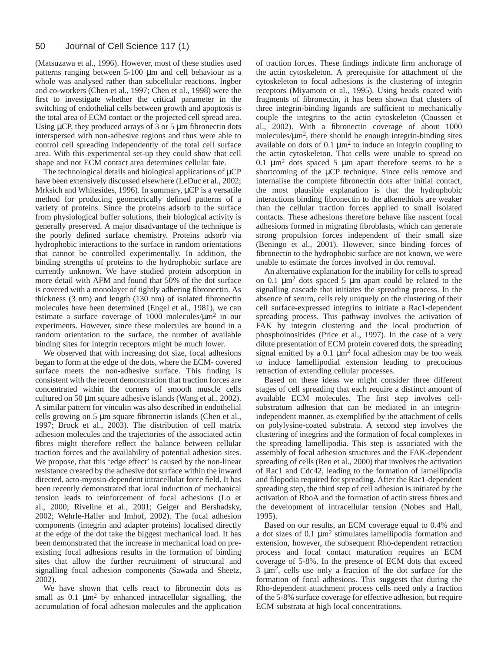(Matsuzawa et al., 1996). However, most of these studies used patterns ranging between 5-100 µm and cell behaviour as a whole was analysed rather than subcellular reactions. Ingber and co-workers (Chen et al., 1997; Chen et al., 1998) were the first to investigate whether the critical parameter in the switching of endothelial cells between growth and apoptosis is the total area of ECM contact or the projected cell spread area. Using  $\mu$ CP, they produced arrays of 3 or 5  $\mu$ m fibronectin dots interspersed with non-adhesive regions and thus were able to control cell spreading independently of the total cell surface area. With this experimental set-up they could show that cell shape and not ECM contact area determines cellular fate.

The technological details and biological applications of  $\mu CP$ have been extensively discussed elsewhere (LeDuc et al., 2002; Mrksich and Whitesides, 1996). In summary,  $\mu CP$  is a versatile method for producing geometrically defined patterns of a variety of proteins. Since the proteins adsorb to the surface from physiological buffer solutions, their biological activity is generally preserved. A major disadvantage of the technique is the poorly defined surface chemistry. Proteins adsorb via hydrophobic interactions to the surface in random orientations that cannot be controlled experimentally. In addition, the binding strengths of proteins to the hydrophobic surface are currently unknown. We have studied protein adsorption in more detail with AFM and found that 50% of the dot surface is covered with a monolayer of tightly adhering fibronectin. As thickness (3 nm) and length (130 nm) of isolated fibronectin molecules have been determined (Engel et al., 1981), we can estimate a surface coverage of 1000 molecules/ $\mu$ m<sup>2</sup> in our experiments. However, since these molecules are bound in a random orientation to the surface, the number of available binding sites for integrin receptors might be much lower.

We observed that with increasing dot size, focal adhesions began to form at the edge of the dots, where the ECM- covered surface meets the non-adhesive surface. This finding is consistent with the recent demonstration that traction forces are concentrated within the corners of smooth muscle cells cultured on 50 µm square adhesive islands (Wang et al., 2002). A similar pattern for vinculin was also described in endothelial cells growing on 5 µm square fibronectin islands (Chen et al., 1997; Brock et al., 2003). The distribution of cell matrix adhesion molecules and the trajectories of the associated actin fibres might therefore reflect the balance between cellular traction forces and the availability of potential adhesion sites. We propose, that this 'edge effect' is caused by the non-linear resistance created by the adhesive dot surface within the inward directed, acto-myosin-dependent intracellular force field. It has been recently demonstrated that local induction of mechanical tension leads to reinforcement of focal adhesions (Lo et al., 2000; Riveline et al., 2001; Geiger and Bershadsky, 2002; Wehrle-Haller and Imhof, 2002). The focal adhesion components (integrin and adapter proteins) localised directly at the edge of the dot take the biggest mechanical load. It has been demonstrated that the increase in mechanical load on preexisting focal adhesions results in the formation of binding sites that allow the further recruitment of structural and signalling focal adhesion components (Sawada and Sheetz, 2002).

We have shown that cells react to fibronectin dots as small as  $0.1 \mu m^2$  by enhanced intracellular signalling, the accumulation of focal adhesion molecules and the application

of traction forces. These findings indicate firm anchorage of the actin cytoskeleton. A prerequisite for attachment of the cytoskeleton to focal adhesions is the clustering of integrin receptors (Miyamoto et al., 1995). Using beads coated with fragments of fibronectin, it has been shown that clusters of three integrin-binding ligands are sufficient to mechanically couple the integrins to the actin cytoskeleton (Coussen et al., 2002). With a fibronectin coverage of about 1000 molecules/ $\mu$ m<sup>2</sup>, there should be enough integrin-binding sites available on dots of  $0.1 \mu m^2$  to induce an integrin coupling to the actin cytoskeleton. That cells were unable to spread on 0.1  $\mu$ m<sup>2</sup> dots spaced 5  $\mu$ m apart therefore seems to be a shortcoming of the  $\mu$ CP technique. Since cells remove and internalise the complete fibronectin dots after initial contact, the most plausible explanation is that the hydrophobic interactions binding fibronectin to the alkenethiols are weaker than the cellular traction forces applied to small isolated contacts. These adhesions therefore behave like nascent focal adhesions formed in migrating fibroblasts, which can generate strong propulsion forces independent of their small size (Beningo et al., 2001). However, since binding forces of fibronectin to the hydrophobic surface are not known, we were unable to estimate the forces involved in dot removal.

An alternative explanation for the inability for cells to spread on 0.1  $\mu$ m<sup>2</sup> dots spaced 5  $\mu$ m apart could be related to the signalling cascade that initiates the spreading process. In the absence of serum, cells rely uniquely on the clustering of their cell surface-expressed integrins to initiate a Rac1-dependent spreading process. This pathway involves the activation of FAK by integrin clustering and the local production of phosphoinositides (Price et al., 1997). In the case of a very dilute presentation of ECM protein covered dots, the spreading signal emitted by a 0.1  $\mu$ m<sup>2</sup> focal adhesion may be too weak to induce lamellipodial extension leading to precocious retraction of extending cellular processes.

Based on these ideas we might consider three different stages of cell spreading that each require a distinct amount of available ECM molecules. The first step involves cellsubstratum adhesion that can be mediated in an integrinindependent manner, as exemplified by the attachment of cells on polylysine-coated substrata. A second step involves the clustering of integrins and the formation of focal complexes in the spreading lamellipodia. This step is associated with the assembly of focal adhesion structures and the FAK-dependent spreading of cells (Ren et al., 2000) that involves the activation of Rac1 and Cdc42, leading to the formation of lamellipodia and filopodia required for spreading. After the Rac1-dependent spreading step, the third step of cell adhesion is initiated by the activation of RhoA and the formation of actin stress fibres and the development of intracellular tension (Nobes and Hall, 1995).

Based on our results, an ECM coverage equal to 0.4% and a dot sizes of 0.1 µm2 stimulates lamellipodia formation and extension, however, the subsequent Rho-dependent retraction process and focal contact maturation requires an ECM coverage of 5-8%. In the presence of ECM dots that exceed  $3 \mu m^2$ , cells use only a fraction of the dot surface for the formation of focal adhesions. This suggests that during the Rho-dependent attachment process cells need only a fraction of the 5-8% surface coverage for effective adhesion, but require ECM substrata at high local concentrations.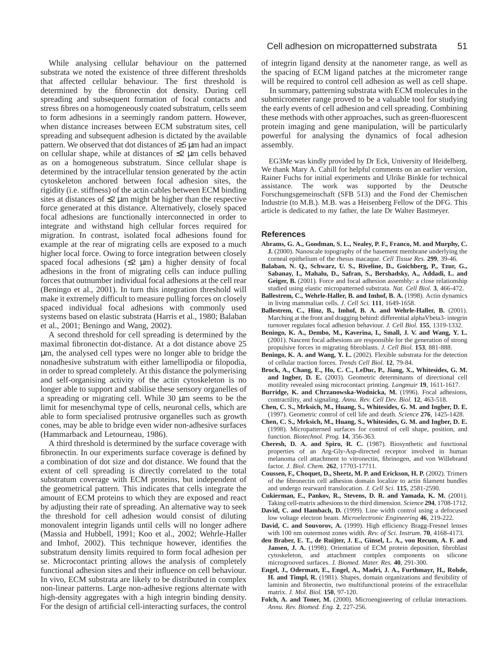While analysing cellular behaviour on the patterned substrata we noted the existence of three different thresholds that affected cellular behaviour. The first threshold is determined by the fibronectin dot density. During cell spreading and subsequent formation of focal contacts and stress fibres on a homogeneously coated substratum, cells seem to form adhesions in a seemingly random pattern. However, when distance increases between ECM substratum sites, cell spreading and subsequent adhesion is dictated by the available pattern. We observed that dot distances of ≥5 µm had an impact on cellular shape, while at distances of ≤2 µm cells behaved as on a homogeneous substratum. Since cellular shape is determined by the intracellular tension generated by the actin cytoskeleton anchored between focal adhesion sites, the rigidity (i.e. stiffness) of the actin cables between ECM binding sites at distances of ≤2 µm might be higher than the respective force generated at this distance. Alternatively, closely spaced focal adhesions are functionally interconnected in order to integrate and withstand high cellular forces required for migration. In contrast, isolated focal adhesions found for example at the rear of migrating cells are exposed to a much higher local force. Owing to force integration between closely spaced focal adhesions  $(\leq 2 \mu m)$  a higher density of focal adhesions in the front of migrating cells can induce pulling forces that outnumber individual focal adhesions at the cell rear (Beningo et al., 2001). In turn this integration threshold will make it extremely difficult to measure pulling forces on closely spaced individual focal adhesions with commonly used systems based on elastic substrata (Harris et al., 1980; Balaban et al., 2001; Beningo and Wang, 2002).

A second threshold for cell spreading is determined by the maximal fibronectin dot-distance. At a dot distance above 25 µm, the analysed cell types were no longer able to bridge the nonadhesive substratum with either lamellipodia or filopodia, in order to spread completely. At this distance the polymerising and self-organising activity of the actin cytoskeleton is no longer able to support and stabilise these sensory organelles of a spreading or migrating cell. While 30 µm seems to be the limit for mesenchymal type of cells, neuronal cells, which are able to form specialised protrusive organelles such as growth cones, may be able to bridge even wider non-adhesive surfaces (Hammarback and Letourneau, 1986).

A third threshold is determined by the surface coverage with fibronectin. In our experiments surface coverage is defined by a combination of dot size and dot distance. We found that the extent of cell spreading is directly correlated to the total substratum coverage with ECM proteins, but independent of the geometrical pattern. This indicates that cells integrate the amount of ECM proteins to which they are exposed and react by adjusting their rate of spreading. An alternative way to seek the threshold for cell adhesion would consist of diluting monovalent integrin ligands until cells will no longer adhere (Massia and Hubbell, 1991; Koo et al., 2002; Wehrle-Haller and Imhof, 2002). This technique however, identifies the substratum density limits required to form focal adhesion per se. Microcontact printing allows the analysis of completely functional adhesion sites and their influence on cell behaviour. In vivo, ECM substrata are likely to be distributed in complex non-linear patterns. Large non-adhesive regions alternate with high-density aggregates with a high integrin binding density. For the design of artificial cell-interacting surfaces, the control of integrin ligand density at the nanometer range, as well as the spacing of ECM ligand patches at the micrometer range will be required to control cell adhesion as well as cell shape.

In summary, patterning substrata with ECM molecules in the submicrometer range proved to be a valuable tool for studying the early events of cell adhesion and cell spreading. Combining these methods with other approaches, such as green-fluorescent protein imaging and gene manipulation, will be particularly powerful for analysing the dynamics of focal adhesion assembly.

EG3Me was kindly provided by Dr Eck, University of Heidelberg. We thank Mary A. Cahill for helpful comments on an earlier version, Rainer Fuchs for initial experiments and Ulrike Binkle for technical assistance. The work was supported by the Deutsche Forschungsgemeinschaft (SFB 513) and the Fond der Chemischen Industrie (to M.B.). M.B. was a Heisenberg Fellow of the DFG. This article is dedicated to my father, the late Dr Walter Bastmeyer.

## **References**

- **Abrams, G. A., Goodman, S. L., Nealey, P. F., Franco, M. and Murphy, C. J.** (2000). Nanoscale topography of the basement membrane underlying the corneal epithelium of the rhesus macaque. *Cell Tissue Res.* **299**, 39-46.
- **Balaban, N. Q., Schwarz, U. S., Riveline, D., Goichberg, P., Tzur, G., Sabanay, I., Mahalu, D., Safran, S., Bershadsky, A., Addadi, L. and Geiger, B.** (2001). Force and focal adhesion assembly: a close relationship studied using elastic micropatterned substrata. *Nat. Cell Biol.* **3**, 466-472.
- **Ballestrem, C., Wehrle-Haller, B. and Imhof, B. A.** (1998). Actin dynamics in living mammalian cells. *J. Cell Sci.* **111**, 1649-1658.
- **Ballestrem, C., Hinz, B., Imhof, B. A. and Wehrle-Haller, B.** (2001). Marching at the front and dragging behind: differential alphaVbeta3- integrin turnover regulates focal adhesion behaviour. *J. Cell Biol.* **155**, 1319-1332.
- **Beningo, K. A., Dembo, M., Kaverina, I., Small, J. V. and Wang, Y. L.** (2001). Nascent focal adhesions are responsible for the generation of strong propulsive forces in migrating fibroblasts. *J. Cell Biol.* **153**, 881-888.
- **Beningo, K. A. and Wang, Y. L.** (2002). Flexible substrata for the detection of cellular traction forces. *Trends Cell Biol.* **12**, 79-84.
- **Brock, A., Chang, E., Ho, C. C., LeDuc, P., Jiang, X., Whitesides, G. M. and Ingber, D. E.** (2003). Geometric determinants of directional cell motility revealed using microcontact printing. *Langmuir* **19**, 1611-1617.
- **Burridge, K. and Chrzanowska-Wodnicka, M.** (1996). Focal adhesions, contractility, and signaling. *Annu. Rev. Cell Dev. Biol.* **12**, 463-518.
- **Chen, C. S., Mrksich, M., Huang, S., Whitesides, G. M. and Ingber, D. E.** (1997). Geometric control of cell life and death. *Science* **276**, 1425-1428.
- **Chen, C. S., Mrksich, M., Huang, S., Whitesides, G. M. and Ingber, D. E.** (1998). Micropatterned surfaces for control of cell shape, position, and function. *Biotechnol. Prog.* **14**, 356-363.
- **Cheresh, D. A. and Spiro, R. C.** (1987). Biosynthetic and functional properties of an Arg-Gly-Asp-directed receptor involved in human melanoma cell attachment to vitronectin, fibrinogen, and von Willebrand factor. *J. Biol. Chem.* **262**, 17703-17711.
- **Coussen, F., Choquet, D., Sheetz, M. P. and Erickson, H. P.** (2002). Trimers of the fibronectin cell adhesion domain localize to actin filament bundles and undergo rearward translocation. *J. Cell Sci.* **115**, 2581-2590.
- **Cukierman, E., Pankov, R., Stevens, D. R. and Yamada, K. M.** (2001). Taking cell-matrix adhesions to the third dimension. *Science* **294**, 1708-1712.
- **David, C. and Hambach, D.** (1999). Line width control using a defocused low voltage electron beam. *Microelectronic Engineering* **46**, 219-222.
- **David, C. and Souvorov, A.** (1999). High efficiency Bragg-Fresnel lenses with 100 nm outermost zones width. *Rev. of Sci. Instrum.* **70**, 4168-4173.
- **den Braber, E. T., de Ruijter, J. E., Ginsel, L. A., von Recum, A. F. and Jansen, J. A.** (1998). Orientation of ECM protein deposition, fibroblast cytoskeleton, and attachment complex components on silicone microgrooved surfaces. *J. Biomed. Mater. Res.* **40**, 291-300.
- **Engel, J., Odermatt, E., Engel, A., Madri, J. A., Furthmayr, H., Rohde, H. and Timpl, R.** (1981). Shapes, domain organizations and flexibility of laminin and fibronectin, two multifunctional proteins of the extracellular matrix. *J. Mol. Biol.* **150**, 97-120.
- **Folch, A. and Toner, M.** (2000). Microengineering of cellular interactions. *Annu. Rev. Biomed. Eng.* **2**, 227-256.